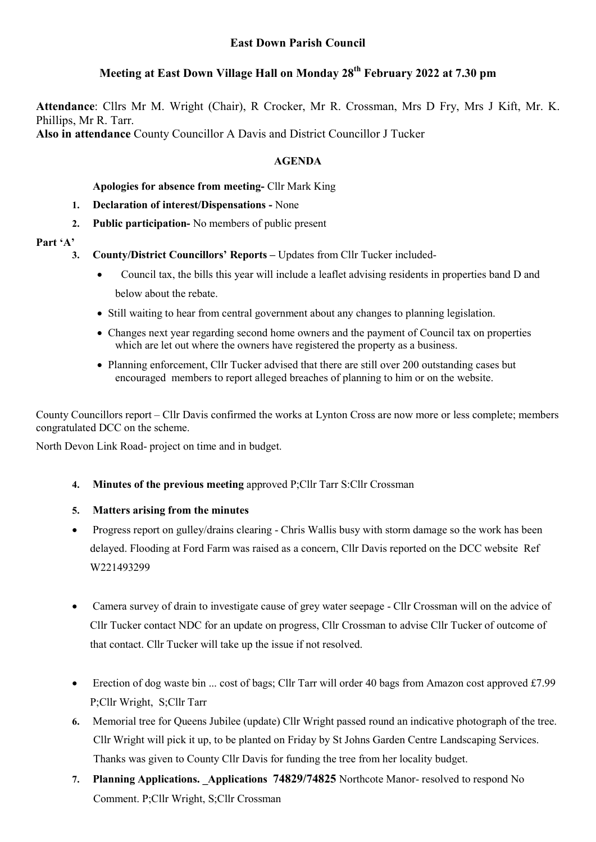# East Down Parish Council

# Meeting at East Down Village Hall on Monday 28<sup>th</sup> February 2022 at 7.30 pm

Attendance: Cllrs Mr M. Wright (Chair), R Crocker, Mr R. Crossman, Mrs D Fry, Mrs J Kift, Mr. K. Phillips, Mr R. Tarr. Also in attendance County Councillor A Davis and District Councillor J Tucker

## AGENDA

## Apologies for absence from meeting- Cllr Mark King

- 1. Declaration of interest/Dispensations None
- 2. Public participation- No members of public present

### Part 'A'

- 3. County/District Councillors' Reports Updates from Cllr Tucker included-
	- Council tax, the bills this year will include a leaflet advising residents in properties band D and below about the rebate.
	- Still waiting to hear from central government about any changes to planning legislation.
	- Changes next year regarding second home owners and the payment of Council tax on properties which are let out where the owners have registered the property as a business.
	- Planning enforcement, Cllr Tucker advised that there are still over 200 outstanding cases but encouraged members to report alleged breaches of planning to him or on the website.

County Councillors report – Cllr Davis confirmed the works at Lynton Cross are now more or less complete; members congratulated DCC on the scheme.

North Devon Link Road- project on time and in budget.

4. Minutes of the previous meeting approved P;Cllr Tarr S:Cllr Crossman

### 5. Matters arising from the minutes

- Progress report on gulley/drains clearing Chris Wallis busy with storm damage so the work has been delayed. Flooding at Ford Farm was raised as a concern, Cllr Davis reported on the DCC website Ref W221493299
- Camera survey of drain to investigate cause of grey water seepage Cllr Crossman will on the advice of Cllr Tucker contact NDC for an update on progress, Cllr Crossman to advise Cllr Tucker of outcome of that contact. Cllr Tucker will take up the issue if not resolved.
- Erection of dog waste bin ... cost of bags; Cllr Tarr will order 40 bags from Amazon cost approved £7.99 P;Cllr Wright, S;Cllr Tarr
- 6. Memorial tree for Queens Jubilee (update) Cllr Wright passed round an indicative photograph of the tree. Cllr Wright will pick it up, to be planted on Friday by St Johns Garden Centre Landscaping Services. Thanks was given to County Cllr Davis for funding the tree from her locality budget.
- 7. Planning Applications. Applications 74829/74825 Northcote Manor- resolved to respond No Comment. P;Cllr Wright, S;Cllr Crossman